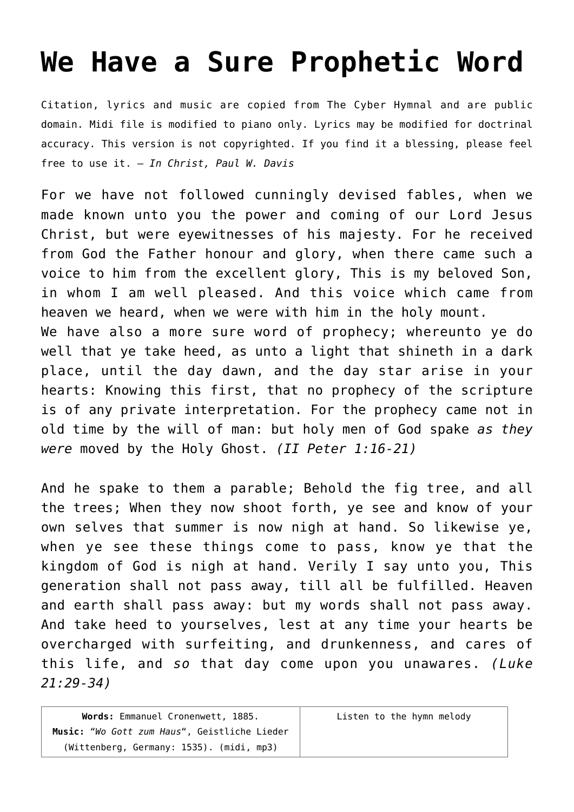## **[We Have a Sure Prophetic Word](http://reproachofmen.org/hymns-and-music/we-have-a-sure-prophetic-word/)**

Citation, lyrics and music are copied from [The Cyber Hymnal](http://www.hymntime.com/tch/index.htm) and are public domain. Midi file is modified to piano only. Lyrics may be modified for doctrinal accuracy. This version is not copyrighted. If you find it a blessing, please feel free to use it. — *In Christ, Paul W. Davis*

For we have not followed cunningly devised fables, when we made known unto you the power and coming of our Lord Jesus Christ, but were eyewitnesses of his majesty. For he received from God the Father honour and glory, when there came such a voice to him from the excellent glory, This is my beloved Son, in whom I am well pleased. And this voice which came from heaven we heard, when we were with him in the holy mount. We have also a more sure word of prophecy; whereunto ye do well that ye take heed, as unto a light that shineth in a dark place, until the day dawn, and the day star arise in your hearts: Knowing this first, that no prophecy of the scripture is of any private interpretation. For the prophecy came not in

old time by the will of man: but holy men of God spake *as they were* moved by the Holy Ghost. *(II Peter 1:16-21)* And he spake to them a parable; Behold the fig tree, and all

the trees; When they now shoot forth, ye see and know of your own selves that summer is now nigh at hand. So likewise ye, when ye see these things come to pass, know ye that the kingdom of God is nigh at hand. Verily I say unto you, This generation shall not pass away, till all be fulfilled. Heaven and earth shall pass away: but my words shall not pass away. And take heed to yourselves, lest at any time your hearts be overcharged with surfeiting, and drunkenness, and cares of this life, and *so* that day come upon you unawares. *(Luke 21:29-34)*

| Words: Emmanuel Cronenwett, 1885.            | Listen to the hymn melody |
|----------------------------------------------|---------------------------|
| Music: "Wo Gott zum Haus", Geistliche Lieder |                           |
| (Wittenberg, Germany: 1535). (midi, mp3)     |                           |